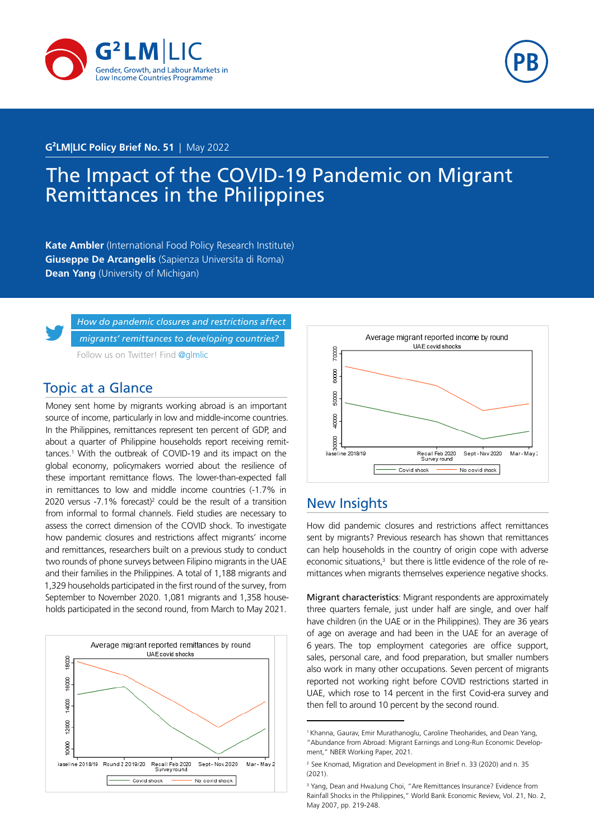



#### <span id="page-0-0"></span>**G²LM|LIC Policy Brief No. 51** | May 2022

# The Impact of the COVID-19 Pandemic on Migrant Remittances in the Philippines

**Kate Ambler** (International Food Policy Research Institute) **Giuseppe De Arcangelis** (Sapienza Universita di Roma) **Dean Yang** (University of Michigan)



*[How do pandemic closures and restrictions affect](https://twitter.com/glmlic)  [migrants' remittances to developing countries?](https://twitter.com/glmlic)* [Follow us on Twitter! Find](https://twitter.com/glmlic) @glmlic

#### Topic at a Glance

Money sent home by migrants working abroad is an important source of income, particularly in low and middle-income countries. In the Philippines, remittances represent ten percent of GDP, and about a quarter of Philippine households report receiving remittances.<sup>1</sup> With the outbreak of COVID-19 and its impact on the global economy, policymakers worried about the resilience of these important remittance flows. The lower-than-expected fall in remittances to low and middle income countries (-1.7% in 2020 versus -7.1% forecast)<sup>2</sup> could be the result of a transition from informal to formal channels. Field studies are necessary to assess the correct dimension of the COVID shock. To investigate how pandemic closures and restrictions affect migrants' income and remittances, researchers built on a previous study to conduct two rounds of phone surveys between Filipino migrants in the UAE and their families in the Philippines. A total of 1,188 migrants and 1,329 households participated in the first round of the survey, from September to November 2020. 1,081 migrants and 1,358 households participated in the second round, from March to May 2021.





### New Insights

How did pandemic closures and restrictions affect remittances sent by migrants? Previous research has shown that remittances can help households in the country of origin cope with adverse economic situations, $3$  but there is little evidence of the role of remittances when migrants themselves experience negative shocks.

Migrant characteristics: Migrant respondents are approximately three quarters female, just under half are single, and over half have children (in the UAE or in the Philippines). They are 36 years of age on average and had been in the UAE for an average of 6 years. The top employment categories are office support, sales, personal care, and food preparation, but smaller numbers also work in many other occupations. Seven percent of migrants reported not working right before COVID restrictions started in UAE, which rose to 14 percent in the first Covid-era survey and then fell to around 10 percent by the second round.

<sup>1</sup> Khanna, Gaurav, Emir Murathanoglu, Caroline Theoharides, and Dean Yang, "Abundance from Abroad: Migrant Earnings and Long-Run Economic Development," NBER Working Paper, 2021.

<sup>2</sup> See Knomad, Migration and Development in Brief n. 33 (2020) and n. 35  $(2021)$ 

<sup>&</sup>lt;sup>3</sup> Yang, Dean and HwaJung Choi, "Are Remittances Insurance? Evidence from Rainfall Shocks in the Philippines," World Bank Economic Review, Vol. 21, No. 2, May 2007, pp. 219-248.